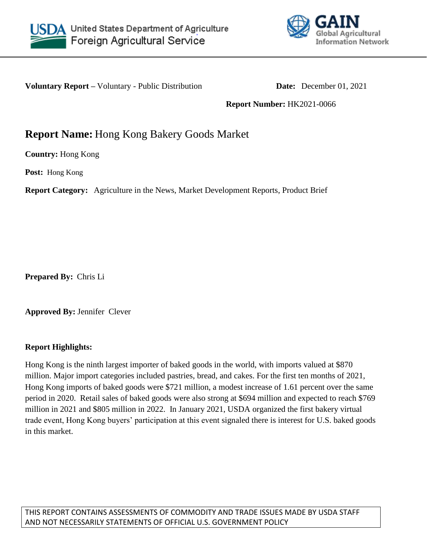



**Voluntary Report –** Voluntary - Public Distribution **Date:** December 01, 2021

**Report Number:** HK2021-0066

# **Report Name:** Hong Kong Bakery Goods Market

**Country:** Hong Kong

**Post:** Hong Kong

**Report Category:** Agriculture in the News, Market Development Reports, Product Brief

**Prepared By:** Chris Li

**Approved By:** Jennifer Clever

## **Report Highlights:**

Hong Kong is the ninth largest importer of baked goods in the world, with imports valued at \$870 million. Major import categories included pastries, bread, and cakes. For the first ten months of 2021, Hong Kong imports of baked goods were \$721 million, a modest increase of 1.61 percent over the same period in 2020. Retail sales of baked goods were also strong at \$694 million and expected to reach \$769 million in 2021 and \$805 million in 2022. In January 2021, USDA organized the first bakery virtual trade event, Hong Kong buyers' participation at this event signaled there is interest for U.S. baked goods in this market.

THIS REPORT CONTAINS ASSESSMENTS OF COMMODITY AND TRADE ISSUES MADE BY USDA STAFF AND NOT NECESSARILY STATEMENTS OF OFFICIAL U.S. GOVERNMENT POLICY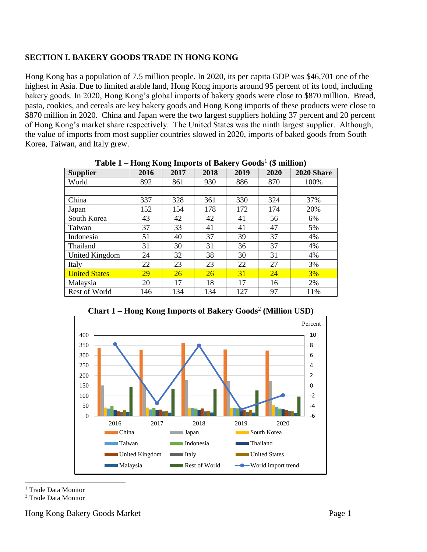## **SECTION I. BAKERY GOODS TRADE IN HONG KONG**

Hong Kong has a population of 7.5 million people. In 2020, its per capita GDP was \$46,701 one of the highest in Asia. Due to limited arable land, Hong Kong imports around 95 percent of its food, including bakery goods. In 2020, Hong Kong's global imports of bakery goods were close to \$870 million. Bread, pasta, cookies, and cereals are key bakery goods and Hong Kong imports of these products were close to \$870 million in 2020. China and Japan were the two largest suppliers holding 37 percent and 20 percent of Hong Kong's market share respectively. The United States was the ninth largest supplier. Although, the value of imports from most supplier countries slowed in 2020, imports of baked goods from South Korea, Taiwan, and Italy grew.

|                       | ---- <del>.</del> |      |      |      |      |            |
|-----------------------|-------------------|------|------|------|------|------------|
| <b>Supplier</b>       | 2016              | 2017 | 2018 | 2019 | 2020 | 2020 Share |
| World                 | 892               | 861  | 930  | 886  | 870  | 100%       |
|                       |                   |      |      |      |      |            |
| China                 | 337               | 328  | 361  | 330  | 324  | 37%        |
| Japan                 | 152               | 154  | 178  | 172  | 174  | 20%        |
| South Korea           | 43                | 42   | 42   | 41   | 56   | 6%         |
| Taiwan                | 37                | 33   | 41   | 41   | 47   | 5%         |
| Indonesia             | 51                | 40   | 37   | 39   | 37   | 4%         |
| Thailand              | 31                | 30   | 31   | 36   | 37   | 4%         |
| <b>United Kingdom</b> | 24                | 32   | 38   | 30   | 31   | 4%         |
| Italy                 | 22                | 23   | 23   | 22   | 27   | 3%         |
| <b>United States</b>  | 29                | 26   | 26   | 31   | 24   | 3%         |
| Malaysia              | 20                | 17   | 18   | 17   | 16   | 2%         |
| Rest of World         | 146               | 134  | 134  | 127  | 97   | 11%        |

**Table 1 – Hong Kong Imports of Bakery Goods**<sup>1</sup> **(\$ million)**



**Chart 1 – Hong Kong Imports of Bakery Goods**<sup>2</sup> **(Million USD)**

<sup>1</sup> Trade Data Monitor

 $\overline{a}$ 

<sup>2</sup> Trade Data Monitor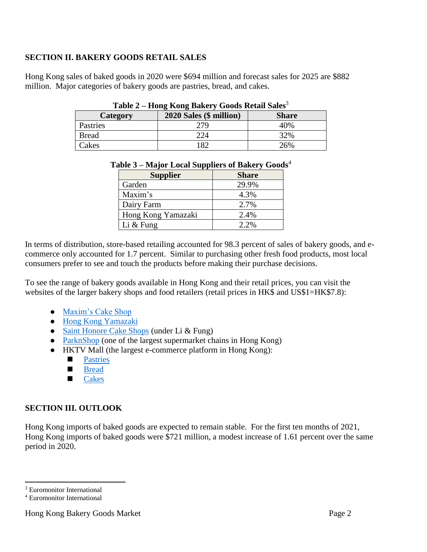# **SECTION II. BAKERY GOODS RETAIL SALES**

Hong Kong sales of baked goods in 2020 were \$694 million and forecast sales for 2025 are \$882 million. Major categories of bakery goods are pastries, bread, and cakes.

| * * * * * *<br>Hong Hong Dance ( Goods Retain Dance |                                  |              |  |  |  |
|-----------------------------------------------------|----------------------------------|--------------|--|--|--|
| Category                                            | 2020 Sales (\$ million)          | <b>Share</b> |  |  |  |
| Pastries                                            | 279                              | 40%          |  |  |  |
| <b>Bread</b>                                        | $\mathcal{V} \mathcal{I} \Delta$ | 32%          |  |  |  |
| Cakes                                               | 82                               | 26%          |  |  |  |

#### **Table 2 – Hong Kong Bakery Goods Retail Sales**<sup>3</sup>

| <b>Supplier</b>    | <b>Share</b> |  |
|--------------------|--------------|--|
| Garden             | 29.9%        |  |
| Maxim's            | 4.3%         |  |
| Dairy Farm         | 2.7%         |  |
| Hong Kong Yamazaki | 2.4%         |  |
| Li $&$ Fung        | $2.2\%$      |  |

#### **Table 3 – Major Local Suppliers of Bakery Goods**<sup>4</sup>

In terms of distribution, store-based retailing accounted for 98.3 percent of sales of bakery goods, and ecommerce only accounted for 1.7 percent. Similar to purchasing other fresh food products, most local consumers prefer to see and touch the products before making their purchase decisions.

To see the range of bakery goods available in Hong Kong and their retail prices, you can visit the websites of the larger bakery shops and food retailers (retail prices in HK\$ and US\$1=HK\$7.8):

- [Maxim's Cake Shop](https://www.maximscakes.com.hk/en/category/all)
- [Hong Kong Yamazaki](https://www.yamazaki.hk/)
- [Saint Honore Cake Shops](https://www.sthonore.com/en) (under Li & Fung)
- [ParknShop](https://www.parknshop.com/en/breakfast-bakery/bakery/c/010100) (one of the largest supermarket chains in Hong Kong)
- HKTV Mall (the largest e-commerce platform in Hong Kong):
	- **[Pastries](https://www.hktvmall.com/hktv/en/search_a/?keyword=pastries&category=AA11150000000)**
	- **[Bread](https://www.hktvmall.com/hktv/en/search_a?keyword=bread&category=supermarket)**
	- **[Cakes](https://www.hktvmall.com/hktv/en/search_a/?keyword=cakes&category=AA11150000000)**

## **SECTION III. OUTLOOK**

Hong Kong imports of baked goods are expected to remain stable. For the first ten months of 2021, Hong Kong imports of baked goods were \$721 million, a modest increase of 1.61 percent over the same period in 2020.

<sup>3</sup> Euromonitor International

 $\overline{a}$ 

<sup>4</sup> Euromonitor International